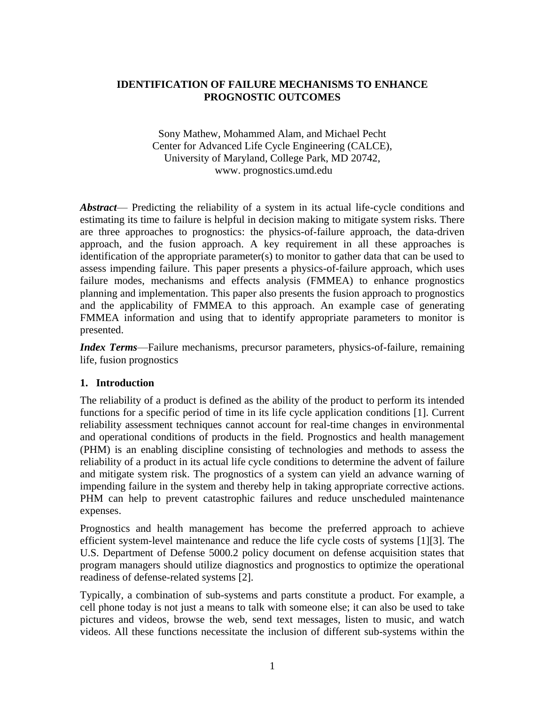# **IDENTIFICATION OF FAILURE MECHANISMS TO ENHANCE PROGNOSTIC OUTCOMES**

Sony Mathew, Mohammed Alam, and Michael Pecht Center for Advanced Life Cycle Engineering (CALCE), University of Maryland, College Park, MD 20742, www. prognostics.umd.edu

*Abstract*— Predicting the reliability of a system in its actual life-cycle conditions and estimating its time to failure is helpful in decision making to mitigate system risks. There are three approaches to prognostics: the physics-of-failure approach, the data-driven approach, and the fusion approach. A key requirement in all these approaches is identification of the appropriate parameter(s) to monitor to gather data that can be used to assess impending failure. This paper presents a physics-of-failure approach, which uses failure modes, mechanisms and effects analysis (FMMEA) to enhance prognostics planning and implementation. This paper also presents the fusion approach to prognostics and the applicability of FMMEA to this approach. An example case of generating FMMEA information and using that to identify appropriate parameters to monitor is presented.

*Index Terms*—Failure mechanisms, precursor parameters, physics-of-failure, remaining life, fusion prognostics

### **1. Introduction**

The reliability of a product is defined as the ability of the product to perform its intended functions for a specific period of time in its life cycle application conditions [1]. Current reliability assessment techniques cannot account for real-time changes in environmental and operational conditions of products in the field. Prognostics and health management (PHM) is an enabling discipline consisting of technologies and methods to assess the reliability of a product in its actual life cycle conditions to determine the advent of failure and mitigate system risk. The prognostics of a system can yield an advance warning of impending failure in the system and thereby help in taking appropriate corrective actions. PHM can help to prevent catastrophic failures and reduce unscheduled maintenance expenses.

Prognostics and health management has become the preferred approach to achieve efficient system-level maintenance and reduce the life cycle costs of systems [1][3]. The U.S. Department of Defense 5000.2 policy document on defense acquisition states that program managers should utilize diagnostics and prognostics to optimize the operational readiness of defense-related systems [2].

Typically, a combination of sub-systems and parts constitute a product. For example, a cell phone today is not just a means to talk with someone else; it can also be used to take pictures and videos, browse the web, send text messages, listen to music, and watch videos. All these functions necessitate the inclusion of different sub-systems within the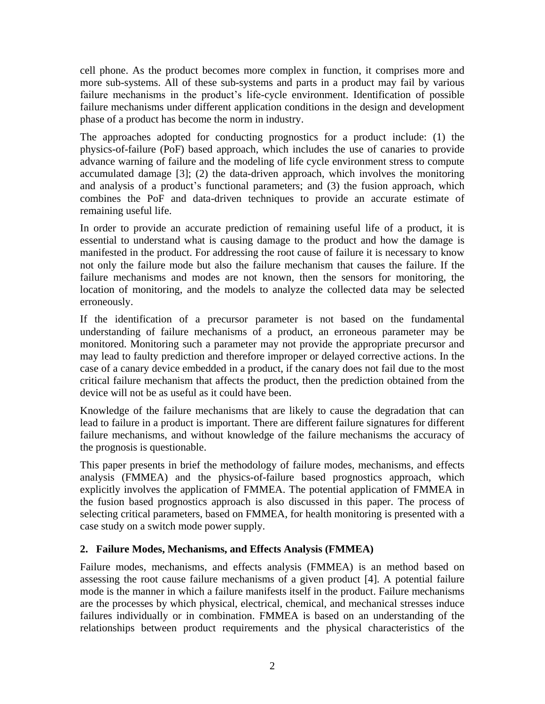cell phone. As the product becomes more complex in function, it comprises more and more sub-systems. All of these sub-systems and parts in a product may fail by various failure mechanisms in the product's life-cycle environment. Identification of possible failure mechanisms under different application conditions in the design and development phase of a product has become the norm in industry.

The approaches adopted for conducting prognostics for a product include: (1) the physics-of-failure (PoF) based approach, which includes the use of canaries to provide advance warning of failure and the modeling of life cycle environment stress to compute accumulated damage [3]; (2) the data-driven approach, which involves the monitoring and analysis of a product's functional parameters; and (3) the fusion approach, which combines the PoF and data-driven techniques to provide an accurate estimate of remaining useful life.

In order to provide an accurate prediction of remaining useful life of a product, it is essential to understand what is causing damage to the product and how the damage is manifested in the product. For addressing the root cause of failure it is necessary to know not only the failure mode but also the failure mechanism that causes the failure. If the failure mechanisms and modes are not known, then the sensors for monitoring, the location of monitoring, and the models to analyze the collected data may be selected erroneously.

If the identification of a precursor parameter is not based on the fundamental understanding of failure mechanisms of a product, an erroneous parameter may be monitored. Monitoring such a parameter may not provide the appropriate precursor and may lead to faulty prediction and therefore improper or delayed corrective actions. In the case of a canary device embedded in a product, if the canary does not fail due to the most critical failure mechanism that affects the product, then the prediction obtained from the device will not be as useful as it could have been.

Knowledge of the failure mechanisms that are likely to cause the degradation that can lead to failure in a product is important. There are different failure signatures for different failure mechanisms, and without knowledge of the failure mechanisms the accuracy of the prognosis is questionable.

This paper presents in brief the methodology of failure modes, mechanisms, and effects analysis (FMMEA) and the physics-of-failure based prognostics approach, which explicitly involves the application of FMMEA. The potential application of FMMEA in the fusion based prognostics approach is also discussed in this paper. The process of selecting critical parameters, based on FMMEA, for health monitoring is presented with a case study on a switch mode power supply.

## **2. Failure Modes, Mechanisms, and Effects Analysis (FMMEA)**

Failure modes, mechanisms, and effects analysis (FMMEA) is an method based on assessing the root cause failure mechanisms of a given product [4]. A potential failure mode is the manner in which a failure manifests itself in the product. Failure mechanisms are the processes by which physical, electrical, chemical, and mechanical stresses induce failures individually or in combination. FMMEA is based on an understanding of the relationships between product requirements and the physical characteristics of the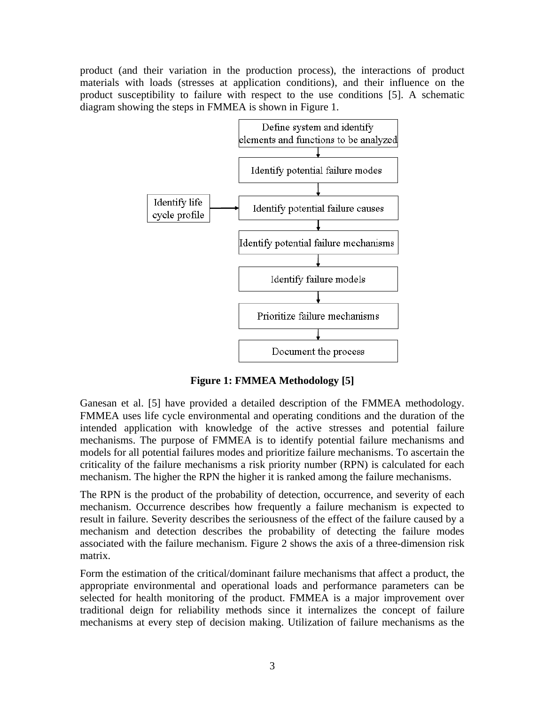product (and their variation in the production process), the interactions of product materials with loads (stresses at application conditions), and their influence on the product susceptibility to failure with respect to the use conditions [5]. A schematic diagram showing the steps in FMMEA is shown in [Figure 1.](#page-2-0)



**Figure 1: FMMEA Methodology [5]**

<span id="page-2-0"></span>Ganesan et al. [5] have provided a detailed description of the FMMEA methodology. FMMEA uses life cycle environmental and operating conditions and the duration of the intended application with knowledge of the active stresses and potential failure mechanisms. The purpose of FMMEA is to identify potential failure mechanisms and models for all potential failures modes and prioritize failure mechanisms. To ascertain the criticality of the failure mechanisms a risk priority number (RPN) is calculated for each mechanism. The higher the RPN the higher it is ranked among the failure mechanisms.

The RPN is the product of the probability of detection, occurrence, and severity of each mechanism. Occurrence describes how frequently a failure mechanism is expected to result in failure. Severity describes the seriousness of the effect of the failure caused by a mechanism and detection describes the probability of detecting the failure modes associated with the failure mechanism. Figure 2 shows the axis of a three-dimension risk matrix.

Form the estimation of the critical/dominant failure mechanisms that affect a product, the appropriate environmental and operational loads and performance parameters can be selected for health monitoring of the product. FMMEA is a major improvement over traditional deign for reliability methods since it internalizes the concept of failure mechanisms at every step of decision making. Utilization of failure mechanisms as the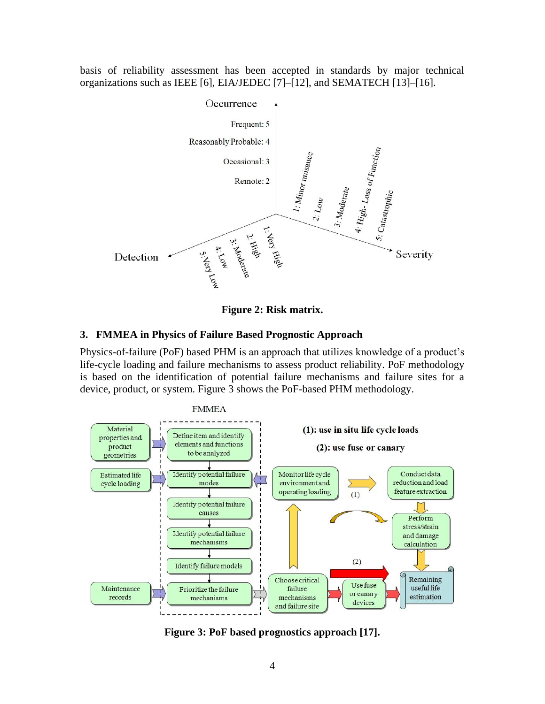basis of reliability assessment has been accepted in standards by major technical organizations such as IEEE [6], EIA/JEDEC [7]–[12], and SEMATECH [13]–[16].





## **3. FMMEA in Physics of Failure Based Prognostic Approach**

Physics-of-failure (PoF) based PHM is an approach that utilizes knowledge of a product's life-cycle loading and failure mechanisms to assess product reliability. PoF methodology is based on the identification of potential failure mechanisms and failure sites for a device, product, or system. [Figure 3](#page-3-0) shows the PoF-based PHM methodology.



<span id="page-3-0"></span>**Figure 3: PoF based prognostics approach [17].**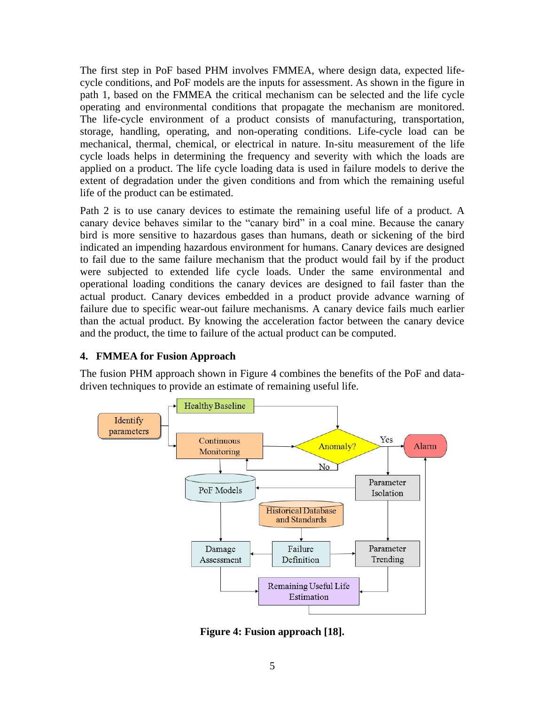The first step in PoF based PHM involves FMMEA, where design data, expected lifecycle conditions, and PoF models are the inputs for assessment. As shown in the figure in path 1, based on the FMMEA the critical mechanism can be selected and the life cycle operating and environmental conditions that propagate the mechanism are monitored. The life-cycle environment of a product consists of manufacturing, transportation, storage, handling, operating, and non-operating conditions. Life-cycle load can be mechanical, thermal, chemical, or electrical in nature. In-situ measurement of the life cycle loads helps in determining the frequency and severity with which the loads are applied on a product. The life cycle loading data is used in failure models to derive the extent of degradation under the given conditions and from which the remaining useful life of the product can be estimated.

Path 2 is to use canary devices to estimate the remaining useful life of a product. A canary device behaves similar to the "canary bird" in a coal mine. Because the canary bird is more sensitive to hazardous gases than humans, death or sickening of the bird indicated an impending hazardous environment for humans. Canary devices are designed to fail due to the same failure mechanism that the product would fail by if the product were subjected to extended life cycle loads. Under the same environmental and operational loading conditions the canary devices are designed to fail faster than the actual product. Canary devices embedded in a product provide advance warning of failure due to specific wear-out failure mechanisms. A canary device fails much earlier than the actual product. By knowing the acceleration factor between the canary device and the product, the time to failure of the actual product can be computed.

## **4. FMMEA for Fusion Approach**

The fusion PHM approach shown in [Figure 4](#page-4-0) combines the benefits of the PoF and datadriven techniques to provide an estimate of remaining useful life.



<span id="page-4-0"></span>**Figure 4: Fusion approach [18].**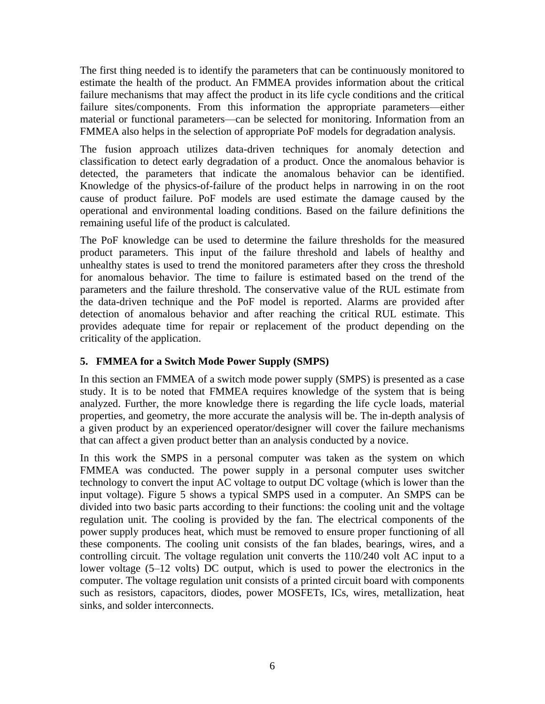The first thing needed is to identify the parameters that can be continuously monitored to estimate the health of the product. An FMMEA provides information about the critical failure mechanisms that may affect the product in its life cycle conditions and the critical failure sites/components. From this information the appropriate parameters—either material or functional parameters—can be selected for monitoring. Information from an FMMEA also helps in the selection of appropriate PoF models for degradation analysis.

The fusion approach utilizes data-driven techniques for anomaly detection and classification to detect early degradation of a product. Once the anomalous behavior is detected, the parameters that indicate the anomalous behavior can be identified. Knowledge of the physics-of-failure of the product helps in narrowing in on the root cause of product failure. PoF models are used estimate the damage caused by the operational and environmental loading conditions. Based on the failure definitions the remaining useful life of the product is calculated.

The PoF knowledge can be used to determine the failure thresholds for the measured product parameters. This input of the failure threshold and labels of healthy and unhealthy states is used to trend the monitored parameters after they cross the threshold for anomalous behavior. The time to failure is estimated based on the trend of the parameters and the failure threshold. The conservative value of the RUL estimate from the data-driven technique and the PoF model is reported. Alarms are provided after detection of anomalous behavior and after reaching the critical RUL estimate. This provides adequate time for repair or replacement of the product depending on the criticality of the application.

## **5. FMMEA for a Switch Mode Power Supply (SMPS)**

In this section an FMMEA of a switch mode power supply (SMPS) is presented as a case study. It is to be noted that FMMEA requires knowledge of the system that is being analyzed. Further, the more knowledge there is regarding the life cycle loads, material properties, and geometry, the more accurate the analysis will be. The in-depth analysis of a given product by an experienced operator/designer will cover the failure mechanisms that can affect a given product better than an analysis conducted by a novice.

In this work the SMPS in a personal computer was taken as the system on which FMMEA was conducted. The power supply in a personal computer uses switcher technology to convert the input AC voltage to output DC voltage (which is lower than the input voltage). [Figure 5](#page-6-0) shows a typical SMPS used in a computer. An SMPS can be divided into two basic parts according to their functions: the cooling unit and the voltage regulation unit. The cooling is provided by the fan. The electrical components of the power supply produces heat, which must be removed to ensure proper functioning of all these components. The cooling unit consists of the fan blades, bearings, wires, and a controlling circuit. The voltage regulation unit converts the 110/240 volt AC input to a lower voltage (5–12 volts) DC output, which is used to power the electronics in the computer. The voltage regulation unit consists of a printed circuit board with components such as resistors, capacitors, diodes, power MOSFETs, ICs, wires, metallization, heat sinks, and solder interconnects.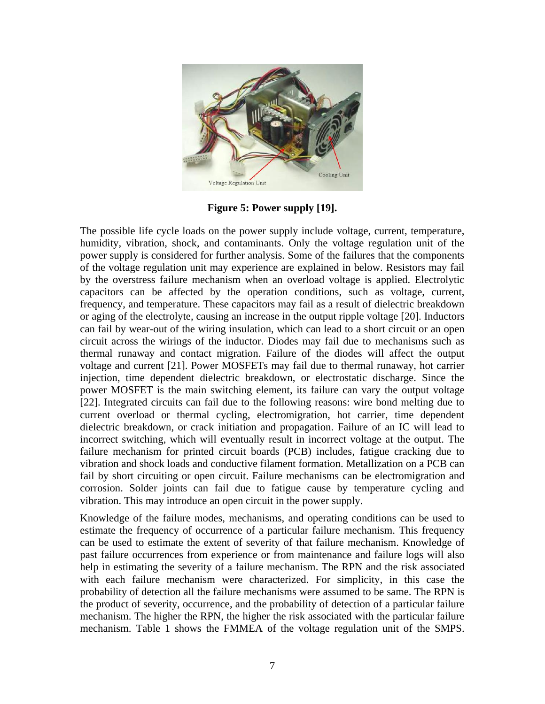

**Figure 5: Power supply [19].**

<span id="page-6-0"></span>The possible life cycle loads on the power supply include voltage, current, temperature, humidity, vibration, shock, and contaminants. Only the voltage regulation unit of the power supply is considered for further analysis. Some of the failures that the components of the voltage regulation unit may experience are explained in below. Resistors may fail by the overstress failure mechanism when an overload voltage is applied. Electrolytic capacitors can be affected by the operation conditions, such as voltage, current, frequency, and temperature. These capacitors may fail as a result of dielectric breakdown or aging of the electrolyte, causing an increase in the output ripple voltage [20]. Inductors can fail by wear-out of the wiring insulation, which can lead to a short circuit or an open circuit across the wirings of the inductor. Diodes may fail due to mechanisms such as thermal runaway and contact migration. Failure of the diodes will affect the output voltage and current [\[21\].](#page-10-0) Power MOSFETs may fail due to thermal runaway, hot carrier injection, time dependent dielectric breakdown, or electrostatic discharge. Since the power MOSFET is the main switching element, its failure can vary the output voltage [\[22\].](#page-10-1) Integrated circuits can fail due to the following reasons: wire bond melting due to current overload or thermal cycling, electromigration, hot carrier, time dependent dielectric breakdown, or crack initiation and propagation. Failure of an IC will lead to incorrect switching, which will eventually result in incorrect voltage at the output. The failure mechanism for printed circuit boards (PCB) includes, fatigue cracking due to vibration and shock loads and conductive filament formation. Metallization on a PCB can fail by short circuiting or open circuit. Failure mechanisms can be electromigration and corrosion. Solder joints can fail due to fatigue cause by temperature cycling and vibration. This may introduce an open circuit in the power supply.

Knowledge of the failure modes, mechanisms, and operating conditions can be used to estimate the frequency of occurrence of a particular failure mechanism. This frequency can be used to estimate the extent of severity of that failure mechanism. Knowledge of past failure occurrences from experience or from maintenance and failure logs will also help in estimating the severity of a failure mechanism. The RPN and the risk associated with each failure mechanism were characterized. For simplicity, in this case the probability of detection all the failure mechanisms were assumed to be same. The RPN is the product of severity, occurrence, and the probability of detection of a particular failure mechanism. The higher the RPN, the higher the risk associated with the particular failure mechanism. Table 1 shows the FMMEA of the voltage regulation unit of the SMPS.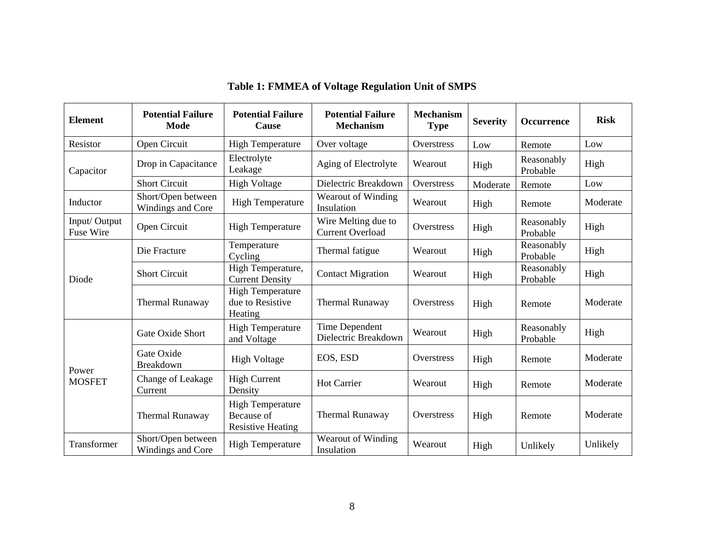| <b>Element</b>            | <b>Potential Failure</b><br>Mode        | <b>Potential Failure</b><br>Cause                                 | <b>Potential Failure</b><br><b>Mechanism</b>   | <b>Mechanism</b><br><b>Type</b> | <b>Severity</b> | <b>Occurrence</b>      | <b>Risk</b> |
|---------------------------|-----------------------------------------|-------------------------------------------------------------------|------------------------------------------------|---------------------------------|-----------------|------------------------|-------------|
| Resistor                  | Open Circuit                            | <b>High Temperature</b>                                           | Over voltage                                   | Overstress                      | Low             | Remote                 | Low         |
| Capacitor                 | Drop in Capacitance                     | Electrolyte<br>Leakage                                            | Aging of Electrolyte                           | Wearout                         | High            | Reasonably<br>Probable | High        |
|                           | <b>Short Circuit</b>                    | <b>High Voltage</b>                                               | Dielectric Breakdown                           | Overstress                      | Moderate        | Remote                 | Low         |
| Inductor                  | Short/Open between<br>Windings and Core | <b>High Temperature</b>                                           | Wearout of Winding<br>Insulation               | Wearout                         | High            | Remote                 | Moderate    |
| Input/Output<br>Fuse Wire | Open Circuit                            | <b>High Temperature</b>                                           | Wire Melting due to<br><b>Current Overload</b> | Overstress                      | High            | Reasonably<br>Probable | High        |
| Diode                     | Die Fracture                            | Temperature<br>Cycling                                            | Thermal fatigue                                | Wearout                         | High            | Reasonably<br>Probable | High        |
|                           | <b>Short Circuit</b>                    | High Temperature,<br><b>Current Density</b>                       | <b>Contact Migration</b>                       | Wearout                         | High            | Reasonably<br>Probable | High        |
|                           | Thermal Runaway                         | <b>High Temperature</b><br>due to Resistive<br>Heating            | <b>Thermal Runaway</b>                         | Overstress                      | High            | Remote                 | Moderate    |
| Power<br><b>MOSFET</b>    | Gate Oxide Short                        | <b>High Temperature</b><br>and Voltage                            | Time Dependent<br>Dielectric Breakdown         | Wearout                         | High            | Reasonably<br>Probable | High        |
|                           | Gate Oxide<br>Breakdown                 | <b>High Voltage</b>                                               | EOS, ESD                                       | Overstress                      | High            | Remote                 | Moderate    |
|                           | Change of Leakage<br>Current            | <b>High Current</b><br>Density                                    | <b>Hot Carrier</b>                             | Wearout                         | High            | Remote                 | Moderate    |
|                           | Thermal Runaway                         | <b>High Temperature</b><br>Because of<br><b>Resistive Heating</b> | <b>Thermal Runaway</b>                         | Overstress                      | High            | Remote                 | Moderate    |
| Transformer               | Short/Open between<br>Windings and Core | <b>High Temperature</b>                                           | Wearout of Winding<br>Insulation               | Wearout                         | High            | Unlikely               | Unlikely    |

**Table 1: FMMEA of Voltage Regulation Unit of SMPS**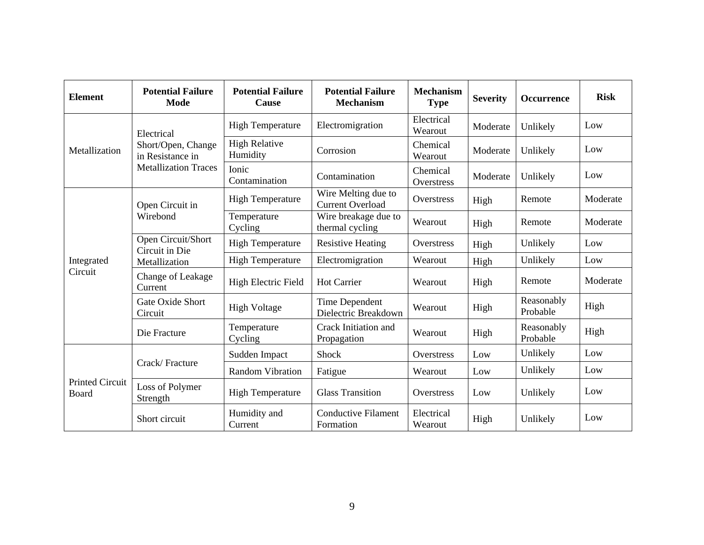| <b>Element</b>                         | <b>Potential Failure</b><br><b>Mode</b>                                             | <b>Potential Failure</b><br>Cause | <b>Potential Failure</b><br><b>Mechanism</b>   | <b>Mechanism</b><br><b>Type</b> | <b>Severity</b> | <b>Occurrence</b>      | <b>Risk</b> |
|----------------------------------------|-------------------------------------------------------------------------------------|-----------------------------------|------------------------------------------------|---------------------------------|-----------------|------------------------|-------------|
| Metallization                          | Electrical<br>Short/Open, Change<br>in Resistance in<br><b>Metallization Traces</b> | <b>High Temperature</b>           | Electromigration                               | Electrical<br>Wearout           | Moderate        | Unlikely               | Low         |
|                                        |                                                                                     | <b>High Relative</b><br>Humidity  | Corrosion                                      | Chemical<br>Wearout             | Moderate        | Unlikely               | Low         |
|                                        |                                                                                     | Ionic<br>Contamination            | Contamination                                  | Chemical<br>Overstress          | Moderate        | Unlikely               | Low         |
| Integrated<br>Circuit                  | Open Circuit in<br>Wirebond                                                         | <b>High Temperature</b>           | Wire Melting due to<br><b>Current Overload</b> | Overstress                      | High            | Remote                 | Moderate    |
|                                        |                                                                                     | Temperature<br>Cycling            | Wire breakage due to<br>thermal cycling        | Wearout                         | High            | Remote                 | Moderate    |
|                                        | Open Circuit/Short<br>Circuit in Die<br>Metallization                               | <b>High Temperature</b>           | <b>Resistive Heating</b>                       | Overstress                      | High            | Unlikely               | Low         |
|                                        |                                                                                     | <b>High Temperature</b>           | Electromigration                               | Wearout                         | High            | Unlikely               | Low         |
|                                        | Change of Leakage<br>Current                                                        | High Electric Field               | <b>Hot Carrier</b>                             | Wearout                         | High            | Remote                 | Moderate    |
|                                        | Gate Oxide Short<br>Circuit                                                         | <b>High Voltage</b>               | Time Dependent<br>Dielectric Breakdown         | Wearout                         | High            | Reasonably<br>Probable | High        |
|                                        | Die Fracture                                                                        | Temperature<br>Cycling            | Crack Initiation and<br>Propagation            | Wearout                         | High            | Reasonably<br>Probable | High        |
| <b>Printed Circuit</b><br><b>Board</b> | Crack/Fracture                                                                      | Sudden Impact                     | Shock                                          | Overstress                      | Low             | Unlikely               | Low         |
|                                        |                                                                                     | <b>Random Vibration</b>           | Fatigue                                        | Wearout                         | Low             | Unlikely               | Low         |
|                                        | Loss of Polymer<br>Strength                                                         | <b>High Temperature</b>           | <b>Glass Transition</b>                        | Overstress                      | Low             | Unlikely               | Low         |
|                                        | Short circuit                                                                       | Humidity and<br>Current           | <b>Conductive Filament</b><br>Formation        | Electrical<br>Wearout           | High            | Unlikely               | Low         |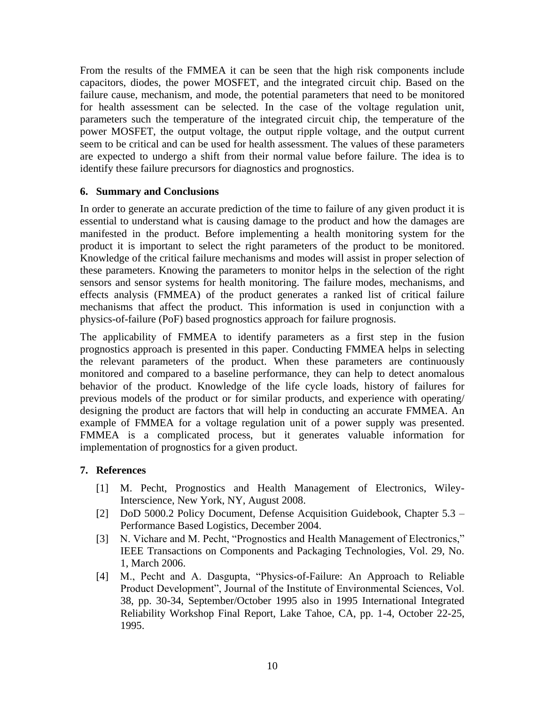From the results of the FMMEA it can be seen that the high risk components include capacitors, diodes, the power MOSFET, and the integrated circuit chip. Based on the failure cause, mechanism, and mode, the potential parameters that need to be monitored for health assessment can be selected. In the case of the voltage regulation unit, parameters such the temperature of the integrated circuit chip, the temperature of the power MOSFET, the output voltage, the output ripple voltage, and the output current seem to be critical and can be used for health assessment. The values of these parameters are expected to undergo a shift from their normal value before failure. The idea is to identify these failure precursors for diagnostics and prognostics.

### **6. Summary and Conclusions**

In order to generate an accurate prediction of the time to failure of any given product it is essential to understand what is causing damage to the product and how the damages are manifested in the product. Before implementing a health monitoring system for the product it is important to select the right parameters of the product to be monitored. Knowledge of the critical failure mechanisms and modes will assist in proper selection of these parameters. Knowing the parameters to monitor helps in the selection of the right sensors and sensor systems for health monitoring. The failure modes, mechanisms, and effects analysis (FMMEA) of the product generates a ranked list of critical failure mechanisms that affect the product. This information is used in conjunction with a physics-of-failure (PoF) based prognostics approach for failure prognosis.

The applicability of FMMEA to identify parameters as a first step in the fusion prognostics approach is presented in this paper. Conducting FMMEA helps in selecting the relevant parameters of the product. When these parameters are continuously monitored and compared to a baseline performance, they can help to detect anomalous behavior of the product. Knowledge of the life cycle loads, history of failures for previous models of the product or for similar products, and experience with operating/ designing the product are factors that will help in conducting an accurate FMMEA. An example of FMMEA for a voltage regulation unit of a power supply was presented. FMMEA is a complicated process, but it generates valuable information for implementation of prognostics for a given product.

### **7. References**

- [1] M. Pecht, Prognostics and Health Management of Electronics, Wiley-Interscience, New York, NY, August 2008.
- [2] DoD 5000.2 Policy Document, Defense Acquisition Guidebook, Chapter 5.3 Performance Based Logistics, December 2004.
- [3] N. Vichare and M. Pecht, "Prognostics and Health Management of Electronics," IEEE Transactions on Components and Packaging Technologies, Vol. 29, No. 1, March 2006.
- [4] M., Pecht and A. Dasgupta, "Physics-of-Failure: An Approach to Reliable Product Development", Journal of the Institute of Environmental Sciences, Vol. 38, pp. 30-34, September/October 1995 also in 1995 International Integrated Reliability Workshop Final Report, Lake Tahoe, CA, pp. 1-4, October 22-25, 1995.